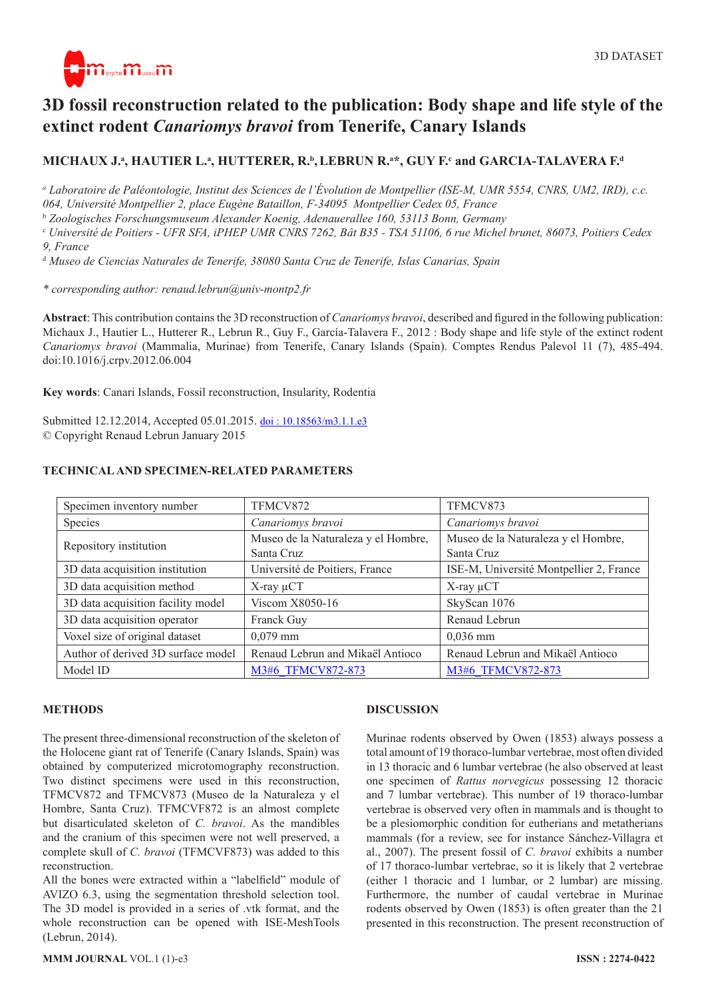

# **3D fossil reconstruction related to the publication: Body shape and life style of the extinct rodent** *Canariomys bravoi* **from Tenerife, Canary Islands**

# MICHAUX J.ª, HAUTIER L.ª, HUTTERER, R.ʰ, LEBRUN R.ª\*, GUY F.<sup>c</sup> and GARCIA-TALAVERA F.ª

*a Laboratoire de Paléontologie, Institut des Sciences de l'Évolution de Montpellier (ISE-M, UMR 5554, CNRS, UM2, IRD), c.c. 064, Université Montpellier 2, place Eugène Bataillon, F-34095 Montpellier Cedex 05, France*

<sup>b</sup> *Zoologisches Forschungsmuseum Alexander Koenig, Adenauerallee 160, 53113 Bonn, Germany*

<sup>c</sup> *Université de Poitiers - UFR SFA, iPHEP UMR CNRS 7262, Bât B35 - TSA 51106, 6 rue Michel brunet, 86073, Poitiers Cedex 9, France*

<sup>d</sup> *Museo de Ciencias Naturales de Tenerife, 38080 Santa Cruz de Tenerife, Islas Canarias, Spain*

*\* corresponding author: renaud.lebrun@univ-montp2.fr*

**Abstract**: This contribution contains the 3D reconstruction of *Canariomys bravoi*, described and figured in the following publication: Michaux J., Hautier L., Hutterer R., Lebrun R., Guy F., García-Talavera F., 2012 : Body shape and life style of the extinct rodent *Canariomys bravoi* (Mammalia, Murinae) from Tenerife, Canary Islands (Spain). Comptes Rendus Palevol 11 (7), 485-494. [doi:10.1016/j.crpv.2012.06.004](http://dx.doi.org/10.1016/j.crpv.2012.06.004)

**Key words**: Canari Islands, Fossil reconstruction, Insularity, Rodentia

Submitted 12.12.2014, Accepted 05.01.2015. [doi : 10.18563/m3.1.1.e3](http://dx.doi.org/10.18563/m3.1.1.e3) © Copyright Renaud Lebrun January 2015

| Specimen inventory number          | TFMCV872                                          | TFMCV873                                          |
|------------------------------------|---------------------------------------------------|---------------------------------------------------|
| Species                            | Canariomys bravoi                                 | Canariomys bravoi                                 |
| Repository institution             | Museo de la Naturaleza y el Hombre,<br>Santa Cruz | Museo de la Naturaleza y el Hombre,<br>Santa Cruz |
| 3D data acquisition institution    | Université de Poitiers, France                    | ISE-M, Université Montpellier 2, France           |
| 3D data acquisition method         | $X$ -ray $\mu$ CT                                 | $X$ -ray $\mu$ CT                                 |
| 3D data acquisition facility model | Viscom X8050-16                                   | SkyScan 1076                                      |
| 3D data acquisition operator       | Franck Guy                                        | Renaud Lebrun                                     |
| Voxel size of original dataset     | $0,079$ mm                                        | $0,036$ mm                                        |
| Author of derived 3D surface model | Renaud Lebrun and Mikaël Antioco                  | Renaud Lebrun and Mikaël Antioco                  |
| Model ID                           | M3#6 TFMCV872-873                                 | M3#6 TFMCV872-873                                 |

#### **TECHNICAL AND SPECIMEN-RELATED PARAMETERS**

#### **METHODS**

The present three-dimensional reconstruction of the skeleton of the Holocene giant rat of Tenerife (Canary Islands, Spain) was obtained by computerized microtomography reconstruction. Two distinct specimens were used in this reconstruction, TFMCV872 and TFMCV873 (Museo de la Naturaleza y el Hombre, Santa Cruz). TFMCVF872 is an almost complete but disarticulated skeleton of *C. bravoi*. As the mandibles and the cranium of this specimen were not well preserved, a complete skull of *C. bravoi* (TFMCVF873) was added to this reconstruction.

All the bones were extracted within a "labelfield" module of AVIZO 6.3, using the segmentation threshold selection tool. The 3D model is provided in a series of .vtk format, and the whole reconstruction can be opened with ISE-MeshTools (Lebrun, 2014).

#### **DISCUSSION**

Murinae rodents observed by Owen (1853) always possess a total amount of 19 thoraco-lumbar vertebrae, most often divided in 13 thoracic and 6 lumbar vertebrae (he also observed at least one specimen of *Rattus norvegicus* possessing 12 thoracic and 7 lumbar vertebrae). This number of 19 thoraco-lumbar vertebrae is observed very often in mammals and is thought to be a plesiomorphic condition for eutherians and metatherians mammals (for a review, see for instance Sánchez-Villagra et al., 2007). The present fossil of *C. bravoi* exhibits a number of 17 thoraco-lumbar vertebrae, so it is likely that 2 vertebrae (either 1 thoracic and 1 lumbar, or 2 lumbar) are missing. Furthermore, the number of caudal vertebrae in Murinae rodents observed by Owen (1853) is often greater than the 21 presented in this reconstruction. The present reconstruction of